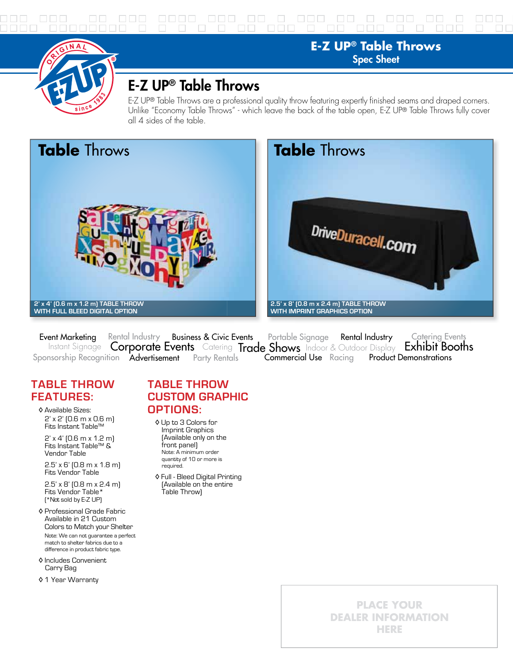



## E-Z UP® Table Throws

E-Z UP® Table Throws are a professional quality throw featuring expertly finished seams and draped corners. Unlike "Economy Table Throws" - which leave the back of the table open, E-Z UP® Table Throws fully cover all 4 sides of the table.





**E-Z UP® Table Throws** Spec Sheet

Event Marketing Rental Industry Business & Civic Events Portable Signage Rental Industry Catering Events<br>Instant Signage Corporate Events Catering Trade Shows Indoor & Outdoor Display Exhibit Booths Sponsorship Recognition Advertisement Party Rentals Product Demonstrations Rental Industry Business & Civic Events Portable Signage Rental Industry Catering Events Commercial Use Racing

## **TABLE THROW FEATURES:**

 ◊ Available Sizes: 2' x 2' (0.6 m x 0.6 m) Fits Instant Table™

 2' x 4' (0.6 m x 1.2 m) Fits Instant Table™ & Vendor Table

 2.5' x 6' (0.8 m x 1.8 m) Fits Vendor Table

 2.5' x 8' (0.8 m x 2.4 m) Fits Vendor Table\* (\*Not sold by E-Z UP)

- ◊ Professional Grade Fabric Available in 21 Custom Colors to Match your Shelter Note: We can not guarantee a perfect match to shelter fabrics due to a difference in product fabric type.
- ◊ Includes Convenient Carry Bag
- ◊ 1 Year Warranty

## **TABLE THROW CUSTOM GRAPHIC OPTIONS:**

- ◊ Up to 3 Colors for Imprint Graphics (Available only on the front panel) Note: A minimum order quantity of 10 or more is required.
- ◊ Full Bleed Digital Printing (Available on the entire Table Throw)

**PLACE YOUR DEALER INFORMATION HERE**